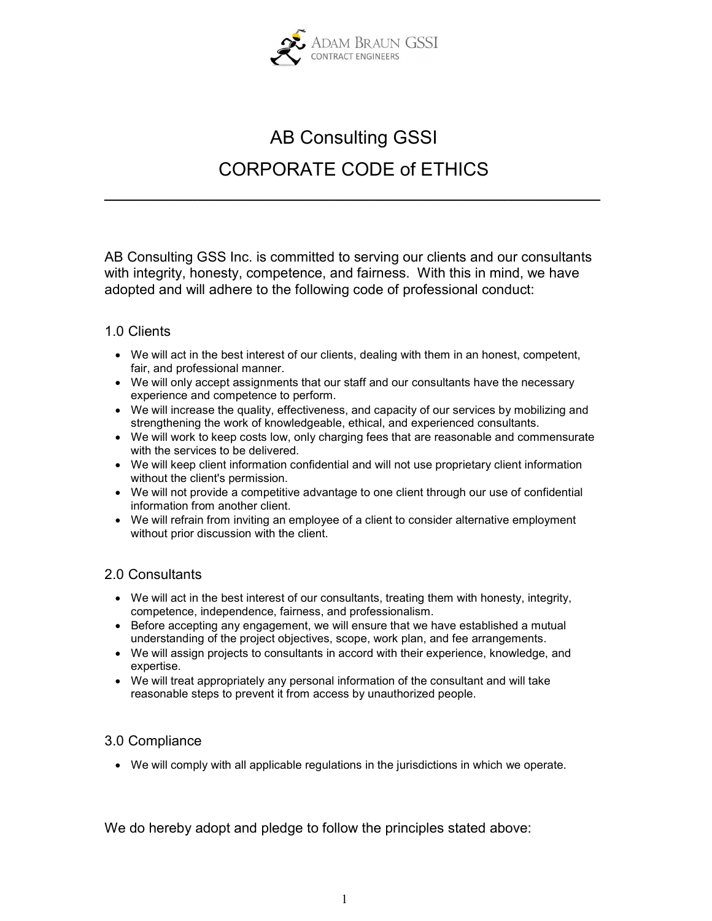

## AB Consulting GSSI CORPORATE CODE of ETHICS

 $\mathcal{L}_\text{max}$  , and the contract of the contract of the contract of the contract of the contract of the contract of the contract of the contract of the contract of the contract of the contract of the contract of the contr

AB Consulting GSS Inc. is committed to serving our clients and our consultants with integrity, honesty, competence, and fairness. With this in mind, we have adopted and will adhere to the following code of professional conduct:

## 1.0 Clients

- We will act in the best interest of our clients, dealing with them in an honest, competent, fair, and professional manner.
- We will only accept assignments that our staff and our consultants have the necessary experience and competence to perform.
- We will increase the quality, effectiveness, and capacity of our services by mobilizing and strengthening the work of knowledgeable, ethical, and experienced consultants.
- We will work to keep costs low, only charging fees that are reasonable and commensurate with the services to be delivered.
- We will keep client information confidential and will not use proprietary client information without the client's permission.
- We will not provide a competitive advantage to one client through our use of confidential information from another client.
- We will refrain from inviting an employee of a client to consider alternative employment without prior discussion with the client.

## 2.0 Consultants

- We will act in the best interest of our consultants, treating them with honesty, integrity, competence, independence, fairness, and professionalism.
- Before accepting any engagement, we will ensure that we have established a mutual understanding of the project objectives, scope, work plan, and fee arrangements.
- We will assign projects to consultants in accord with their experience, knowledge, and expertise.
- We will treat appropriately any personal information of the consultant and will take reasonable steps to prevent it from access by unauthorized people.

## 3.0 Compliance

We will comply with all applicable regulations in the jurisdictions in which we operate.

We do hereby adopt and pledge to follow the principles stated above: